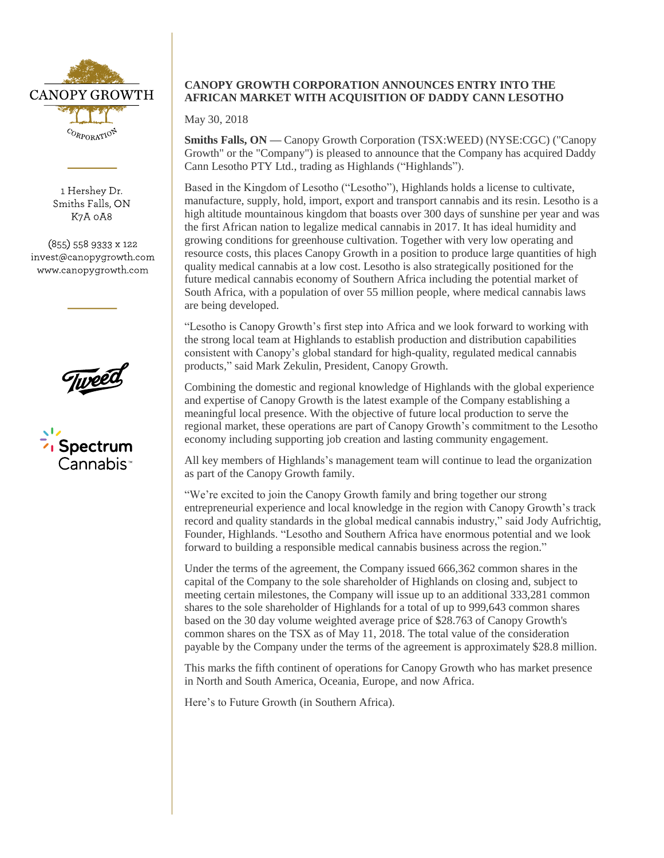

1 Hershey Dr. Smiths Falls, ON K7A 0A8

 $(855)$  558 9333 x 122 invest@canopygrowth.com www.canopygrowth.com





## **CANOPY GROWTH CORPORATION ANNOUNCES ENTRY INTO THE AFRICAN MARKET WITH ACQUISITION OF DADDY CANN LESOTHO**

May 30, 2018

**Smiths Falls, ON —** Canopy Growth Corporation (TSX:WEED) (NYSE:CGC) ("Canopy Growth" or the "Company") is pleased to announce that the Company has acquired Daddy Cann Lesotho PTY Ltd., trading as Highlands ("Highlands").

Based in the Kingdom of Lesotho ("Lesotho"), Highlands holds a license to cultivate, manufacture, supply, hold, import, export and transport cannabis and its resin. Lesotho is a high altitude mountainous kingdom that boasts over 300 days of sunshine per year and was the first African nation to legalize medical cannabis in 2017. It has ideal humidity and growing conditions for greenhouse cultivation. Together with very low operating and resource costs, this places Canopy Growth in a position to produce large quantities of high quality medical cannabis at a low cost. Lesotho is also strategically positioned for the future medical cannabis economy of Southern Africa including the potential market of South Africa, with a population of over 55 million people, where medical cannabis laws are being developed.

"Lesotho is Canopy Growth's first step into Africa and we look forward to working with the strong local team at Highlands to establish production and distribution capabilities consistent with Canopy's global standard for high-quality, regulated medical cannabis products," said Mark Zekulin, President, Canopy Growth.

Combining the domestic and regional knowledge of Highlands with the global experience and expertise of Canopy Growth is the latest example of the Company establishing a meaningful local presence. With the objective of future local production to serve the regional market, these operations are part of Canopy Growth's commitment to the Lesotho economy including supporting job creation and lasting community engagement.

All key members of Highlands's management team will continue to lead the organization as part of the Canopy Growth family.

"We're excited to join the Canopy Growth family and bring together our strong entrepreneurial experience and local knowledge in the region with Canopy Growth's track record and quality standards in the global medical cannabis industry," said Jody Aufrichtig, Founder, Highlands. "Lesotho and Southern Africa have enormous potential and we look forward to building a responsible medical cannabis business across the region."

Under the terms of the agreement, the Company issued 666,362 common shares in the capital of the Company to the sole shareholder of Highlands on closing and, subject to meeting certain milestones, the Company will issue up to an additional 333,281 common shares to the sole shareholder of Highlands for a total of up to 999,643 common shares based on the 30 day volume weighted average price of \$28.763 of Canopy Growth's common shares on the TSX as of May 11, 2018. The total value of the consideration payable by the Company under the terms of the agreement is approximately \$28.8 million.

This marks the fifth continent of operations for Canopy Growth who has market presence in North and South America, Oceania, Europe, and now Africa.

Here's to Future Growth (in Southern Africa).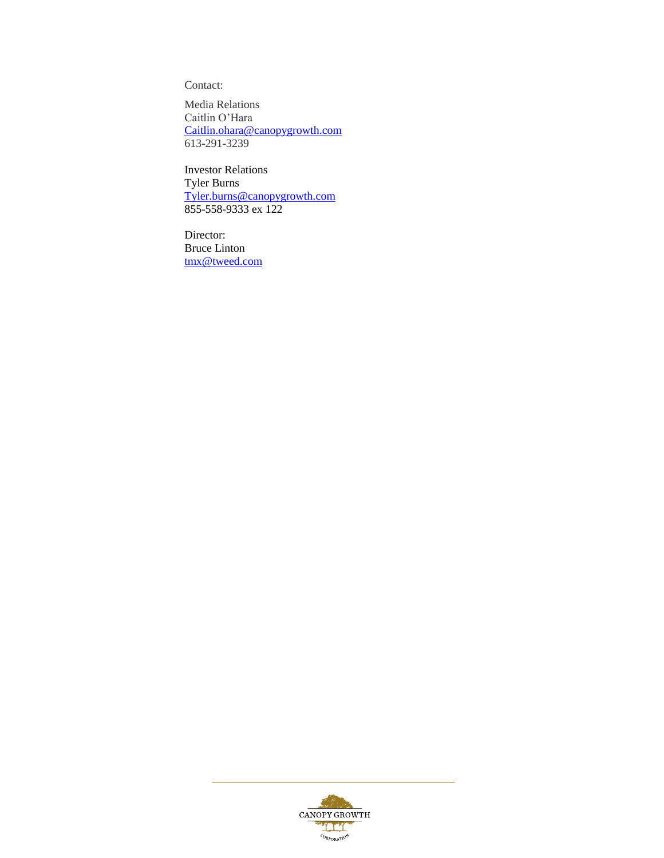Contact:

Media Relations Caitlin O'Hara [Caitlin.ohara@canopygrowth.com](mailto:Caitlin.ohara@canopygrowth.com) 613-291-3239

Investor Relations Tyler Burns [Tyler.burns@canopygrowth.com](mailto:Tyler.burns@canopygrowth.com) 855-558-9333 ex 122

Director: Bruce Linton [tmx@tweed.com](mailto:tmx@tweed.com)